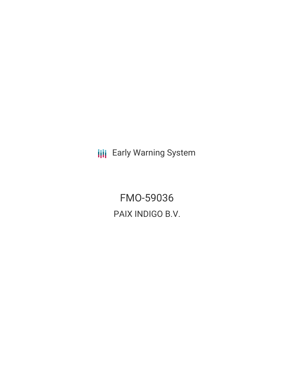**III** Early Warning System

FMO-59036 PAIX INDIGO B.V.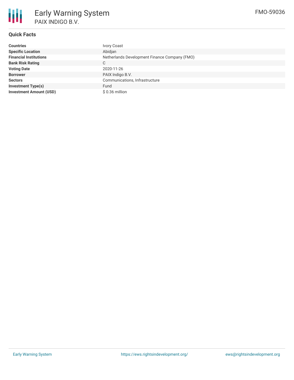

# **Quick Facts**

| <b>Countries</b>               | Ivory Coast                                   |
|--------------------------------|-----------------------------------------------|
| <b>Specific Location</b>       | Abidjan                                       |
| <b>Financial Institutions</b>  | Netherlands Development Finance Company (FMO) |
| <b>Bank Risk Rating</b>        | C.                                            |
| <b>Voting Date</b>             | 2020-11-26                                    |
| <b>Borrower</b>                | PAIX Indigo B.V.                              |
| <b>Sectors</b>                 | Communications, Infrastructure                |
| <b>Investment Type(s)</b>      | Fund                                          |
| <b>Investment Amount (USD)</b> | $$0.36$ million                               |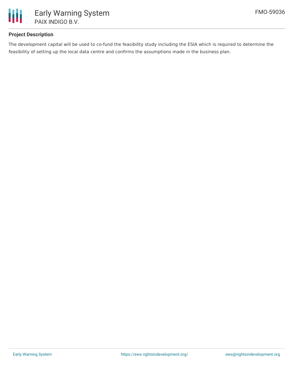

# **Project Description**

The development capital will be used to co-fund the feasibility study including the ESIA which is required to determine the feasibility of setting up the local data centre and confirms the assumptions made in the business plan.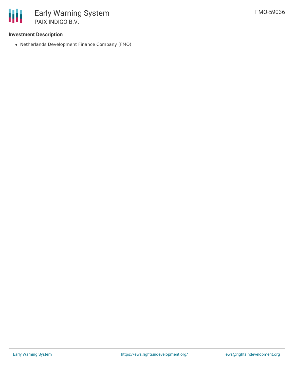

#### **Investment Description**

Netherlands Development Finance Company (FMO)